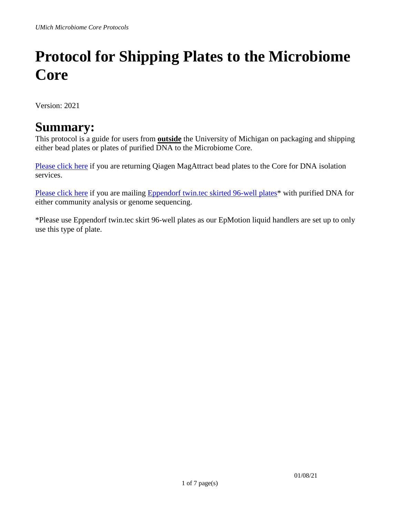# **Protocol for Shipping Plates to the Microbiome Core**

Version: 2021

### **Summary:**

This protocol is a guide for users from **outside** the University of Michigan on packaging and shipping either bead plates or plates of purified DNA to the Microbiome Core.

[Please click here](#page-1-0) if you are returning Qiagen MagAttract bead plates to the Core for DNA isolation services.

[Please click here](#page-4-0) if you are mailing Eppendorf twin.tec skirted 96-well plates<sup>\*</sup> with purified DNA for either community analysis or genome sequencing.

\*Please use Eppendorf twin.tec skirt 96-well plates as our EpMotion liquid handlers are set up to only use this type of plate.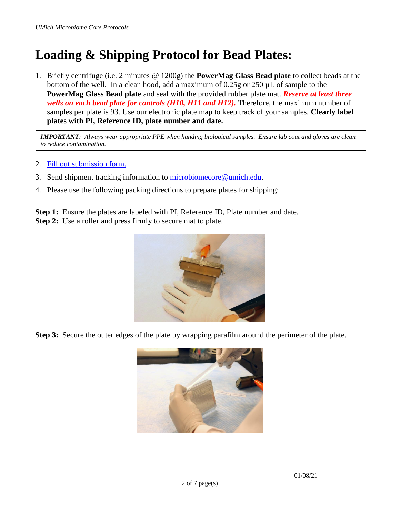## <span id="page-1-0"></span>**Loading & Shipping Protocol for Bead Plates:**

1. Briefly centrifuge (i.e. 2 minutes @ 1200g) the **PowerMag Glass Bead plate** to collect beads at the bottom of the well. In a clean hood, add a maximum of 0.25g or 250 µL of sample to the **PowerMag Glass Bead plate** and seal with the provided rubber plate mat. *Reserve at least three wells on each bead plate for controls (H10, H11 and H12).* Therefore, the maximum number of samples per plate is 93. Use our electronic plate map to keep track of your samples. **Clearly label plates with PI, Reference ID, plate number and date.**

*IMPORTANT: Always wear appropriate PPE when handing biological samples. Ensure lab coat and gloves are clean to reduce contamination.* 

- 2. [Fill out submission form.](https://umich.corefacilities.org/sc/5271/umich-microbiome-core/?tab=services)
- 3. Send shipment tracking information to [microbiomecore@umich.edu.](mailto:microbiomecore@umich.edu)
- 4. Please use the following packing directions to prepare plates for shipping:

**Step 1:** Ensure the plates are labeled with PI, Reference ID, Plate number and date. **Step 2:** Use a roller and press firmly to secure mat to plate.



**Step 3:** Secure the outer edges of the plate by wrapping parafilm around the perimeter of the plate.

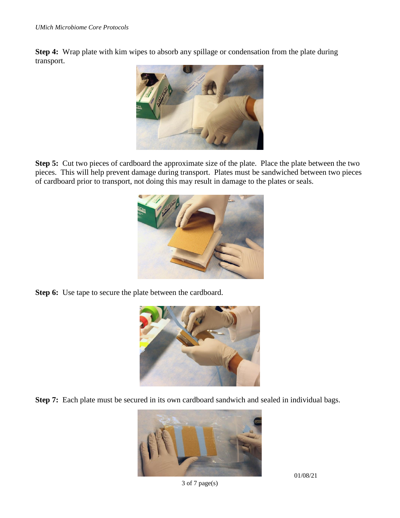**Step 4:** Wrap plate with kim wipes to absorb any spillage or condensation from the plate during transport.



**Step 5:** Cut two pieces of cardboard the approximate size of the plate. Place the plate between the two pieces. This will help prevent damage during transport. Plates must be sandwiched between two pieces of cardboard prior to transport, not doing this may result in damage to the plates or seals.



**Step 6:** Use tape to secure the plate between the cardboard.



**Step 7:** Each plate must be secured in its own cardboard sandwich and sealed in individual bags.



3 of 7 page(s)

01/08/21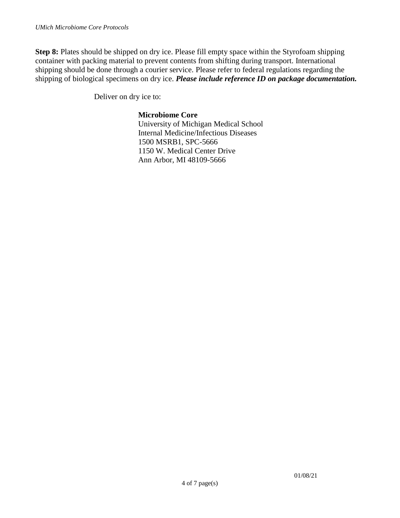**Step 8:** Plates should be shipped on dry ice. Please fill empty space within the Styrofoam shipping container with packing material to prevent contents from shifting during transport. International shipping should be done through a courier service. Please refer to federal regulations regarding the shipping of biological specimens on dry ice. *Please include reference ID on package documentation.*

Deliver on dry ice to:

#### **Microbiome Core**

University of Michigan Medical School Internal Medicine/Infectious Diseases 1500 MSRB1, SPC-5666 1150 W. Medical Center Drive Ann Arbor, MI 48109-5666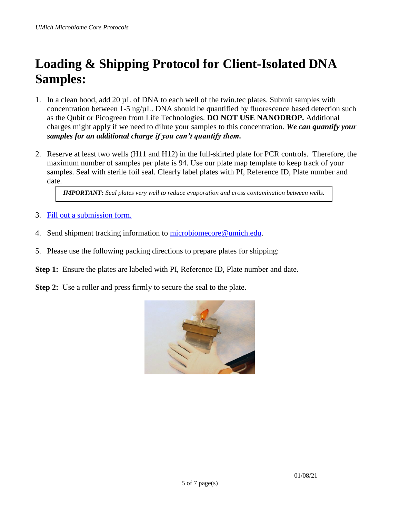## <span id="page-4-0"></span>**Loading & Shipping Protocol for Client-Isolated DNA Samples:**

- 1. In a clean hood, add 20  $\mu$ L of DNA to each well of the twin.tec plates. Submit samples with concentration between  $1-5$  ng/ $\mu$ L. DNA should be quantified by fluorescence based detection such as the Qubit or Picogreen from Life Technologies. **DO NOT USE NANODROP.** Additional charges might apply if we need to dilute your samples to this concentration. *We can quantify your samples for an additional charge if you can't quantify them.*
- 2. Reserve at least two wells (H11 and H12) in the full-skirted plate for PCR controls. Therefore, the maximum number of samples per plate is 94. Use our plate map template to keep track of your samples. Seal with sterile foil seal. Clearly label plates with PI, Reference ID, Plate number and date.

*IMPORTANT: Seal plates very well to reduce evaporation and cross contamination between wells.*

- 3. [Fill out a submission form.](https://umich.corefacilities.org/sc/5271/umich-microbiome-core/?tab=services)
- 4. Send shipment tracking information to [microbiomecore@umich.edu.](mailto:microbiomecore@umich.edu)
- 5. Please use the following packing directions to prepare plates for shipping:
- **Step 1:** Ensure the plates are labeled with PI, Reference ID, Plate number and date.
- **Step 2:** Use a roller and press firmly to secure the seal to the plate.

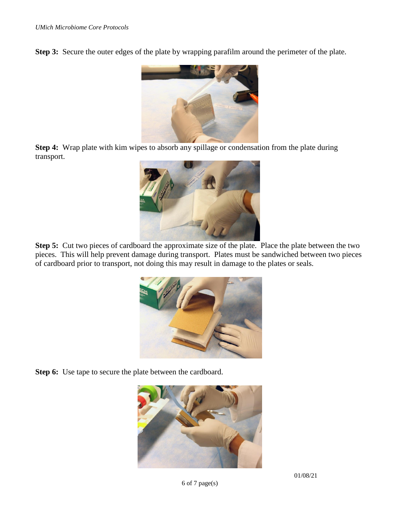**Step 3:** Secure the outer edges of the plate by wrapping parafilm around the perimeter of the plate.



**Step 4:** Wrap plate with kim wipes to absorb any spillage or condensation from the plate during transport.



**Step 5:** Cut two pieces of cardboard the approximate size of the plate. Place the plate between the two pieces. This will help prevent damage during transport. Plates must be sandwiched between two pieces of cardboard prior to transport, not doing this may result in damage to the plates or seals.



**Step 6:** Use tape to secure the plate between the cardboard.